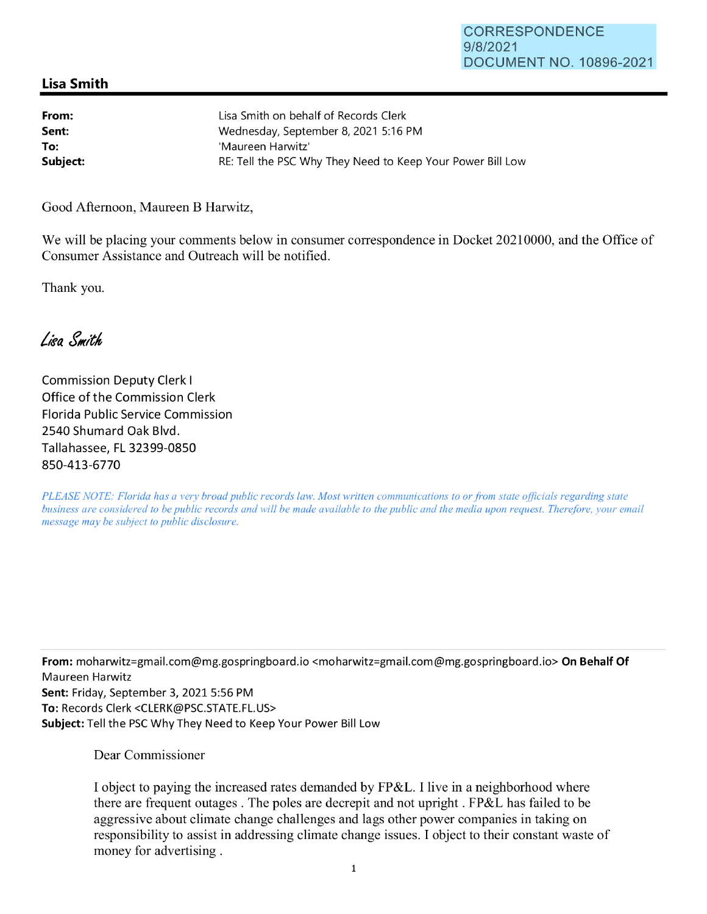## **Lisa Smith**

| From:    | Lisa Smith on behalf of Records Clerk                      |
|----------|------------------------------------------------------------|
| Sent:    | Wednesday, September 8, 2021 5:16 PM                       |
| To:      | 'Maureen Harwitz'                                          |
| Subject: | RE: Tell the PSC Why They Need to Keep Your Power Bill Low |

Good Afternoon, Maureen B Harwitz,

We will be placing your comments below in consumer correspondence in Docket 20210000, and the Office of Consumer Assistance and Outreach will be notified.

Thank you.

Lisa Smith

Commission Deputy Clerk I Office of the Commission Clerk Florida Public Service Commission 2540 Shumard Oak Blvd. Tallahassee, FL 32399-0850 850-413-6770

*PLEASE NOTE: Florida has a very broad public records law. Most written communications to or from state officials regarding state business are considered to be public records and will be made available to the public and the media upon request. Therefore, your email message may be subject to public disclosure.* 

**From:** moharwitz=gmail.com@mg.gospringboard.io <moharwitz=gmail.com@mg.gospringboard.io> **On Behalf Of**  Maureen Harwitz **Sent:** Friday, September 3, 2021 5:56 PM **To:** Records Clerk <CLERK@PSC.STATE.FL.US> **Subject:** Tell the PSC Why They Need to Keep Your Power Bill Low

Dear Commissioner

I object to paying the increased rates demanded by FP&L. I live in a neighborhood where there are frequent outages . The poles are decrepit and not upright . FP&L has failed to be aggressive about climate change challenges and lags other power companies in taking on responsibility to assist in addressing climate change issues. I object to their constant waste of money for advertising .